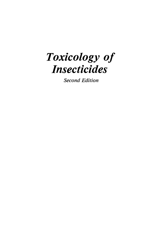## *Toxicology of Insecticides*

*Second Edition*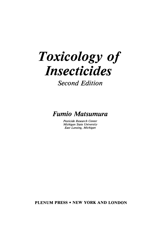# *Toxicology of Insecticides*

*Second Edition* 

### *Fumio Matsumura*

*Pesticide Research Center Michigan State University East Lansing, Michigan* 

**PLENUM PRESS • NEW YORK AND LONDON**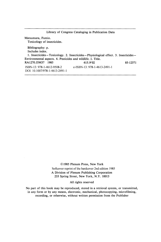|                                                                                         | Library of Congress Cataloging in Publication Data |          |
|-----------------------------------------------------------------------------------------|----------------------------------------------------|----------|
| Matsumura, Fumio.                                                                       |                                                    |          |
| Toxicology of insecticides.                                                             |                                                    |          |
| Bibliography: p.                                                                        |                                                    |          |
| Includes index.                                                                         |                                                    |          |
| 1. Insecticides – Toxicology. 2. Insecticides – Physiological effect. 3. Insecticides – |                                                    |          |
| Environmental aspects. 4. Pesticides and wildlife. I. Title.                            |                                                    |          |
| RA1270.I5M37 1985                                                                       | 615.9/02                                           | 85-12371 |
| ISBN-13: 978-1-4612-9508-2<br>DOI: 10.1007/978-1-4613-2491-1                            | e-ISBN-13: 978-1-4613-2491-1                       |          |

©1985 Plenum Press, New York Softcover reprint of the hardcover 2nd edition 1985 A Division of Plenum Publishing Corporation 233 Spring Street, New York, N.Y. 10013

All rights reserved

No part of this book may be reproduced, stored in a retrieval system, or transmitted, in any form or by any means, electronic, mechanical, photocopying, microfilming, recording, or otherwise, without written permission from the Publisher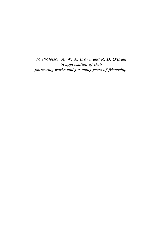*To Professor A. w. A. Brown and R. D. O'Brien in appreciation of their pioneering works and for many years of friendship.*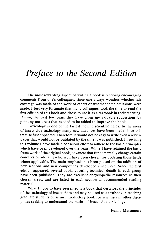## *Preface to the Second Edition*

The most rewarding aspect of writing a book is receiving encouraging comments from one's colleagues, since one always wonders whether fair coverage was made of the work of others or whether some omissions were made. I feel very fortunate that many colleagues took the time to read the first edition of this book and chose to use it as a textbook in their teaching. During the past few years they have given me valuable suggestions by pointing out areas that needed to be added to improve the book.

Toxicology is one of the fastest moving scientific fields. **In** the areas of insecticide toxicology many new advances have been made since this treatise first appeared. Therefore, it would not be easy to write even a review paper that would not be outdated by the time it was published. **In** revising this volume I have made a conscious effort to adhere to the basic principles which have been developed over the years. While I have retained the basic framework of the original book, advances that fundamentally change certain concepts or add a new horizon have been chosen for updating those fields where applicable. The main emphasis has been placed on the addition of new sections and new compounds developed since 1975. Since the first edition appeared, several books covering technical details in each group have been published. They are excellent encyclopedic resources in their chosen areas, and are listed in each section as recommended reading material.

What I hope to have presented is a book that describes the principles of the toxicology of insecticides and may be used as a textbook in teaching graduate students or as an introductory book for scientists in other disciplines seeking to understand the basics of insecticide toxicology.

Fumio Matsumura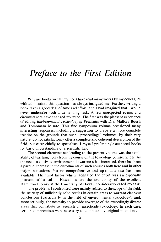## *Preface to the First Edition*

Why are books written? Since I have read many works by my colleagues with admiration, this question has always intrigued me. Further, writing a book takes a good deal of time and effort, and I had imagined that I would never undertake such a demanding task. A few unexpected events and circumstances have changed my mind. The first was the pleasant experience of editing *Environmental Toxicology of Pesticides* with Drs. Mallory Boush and Tomomasa Misato. This fine symposium volume occasioned many interesting responses, including a suggestion to prepare a more complete treatise on the grounds that such "proceedings" volumes, by their very nature, do not satisfactorily offer a complete and coherent description of the field, but cater chiefly to specialists. I myself prefer single-authored books for basic understanding of a scientific field.

The second circumstance leading to the present volume was the availability of teaching notes from my course on the toxicology of insecticides. As the need to cultivate environmental awareness has increased. there has been a parallel increase in the enrollments of such courses both here and in other major institutions. Yet no comprehensive and up-to-date text has been available. The third factor which facilitated the effort was an especially pleasant sabbatical in Hawaii, where the availability of the excellent Hamilton Library at the University of Hawaii considerably eased my task.

The problems I confronted were mainly related to the scope of the field, the scarcity of sufficiently solid results in certain areas to warrant clear-cut conclusions (particularly in the field of environmental toxicology), and, more seriously. the necessity to provide coverage of the exceedingly diverse areas that contribute to research on insecticide toxicology. **In** each case, certain compromises were necessary to complete my original intentions.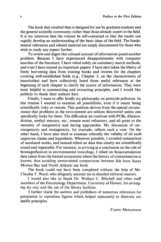The book that resulted then is designed for use by graduate students and the general scientific community rather than those already expert in the field. It is my intention that the volume be self-contained so that the reader can rapidly develop an understanding of the basic ideas of the field. The fundamental references and related material are amply documented for those who wish to study any aspect further.

To review and digest this colossal amount of information posed another problem. Because I have experienced disappointments with computer searches of the literature, I have relied solely on customary search methods, and trust I have missed no important papers. I have also taken the liberty of freely borrowing data from existing books and reviews for the chapters covering well-established fields (e.g., Chapter 3, on the characteristics of insecticides) and have collectively listed those useful references at the beginning of each chapter to clarify the source of information. They were most helpful in summarizing and extracting principles, and I would like publicly to thank their authors here.

Finally, I want to offer briefly my philosophy on pesticide pollution. In this treatise I wanted to examine all possibilities, even if it meant being scientifically risky or remote. This position derives from the special circumstance that problems in the environment are seldom discovered unless one specifically looks for them. The difficulties we confront with PCBs, dibenzodioxins, methyl mercury, etc., remain most refractory, and all point to the necessity of imaginative and daring approaches. My discussion of carcinogenicity and mutagenicity, for example, reflects such a view. On the other hand, I have also tried to examine critically the validity of all such unproven claims and hypothesis. Wherever possible, I avoided comparison of unrelated works, and instead relied on data that clearly are scientifically sound and repeatable. For instance, in arriving at a conclusion on the role of biomagnification in environmental toxicology, I relied on bioaccumulation data taken from the limited ecosystems where the history of contamination is known, thus avoiding unwarranted comparisons between fish from Santa Monica Bay and North Atlantic sea birds.

The book could not have been completed without the help of Ms. Claudia T. Ward, who diligently assisted me in detailed editorial matters.

I would also like to thank Dr. Wallace C. Mitchell and other staff members of the Entomology Department, University of Hawaii, for arranging my stay and the use of the library facilities.

I further thank the authors and publishers of numerous references for permission to reproduce figures which helped immensely to illustrate scientific principles.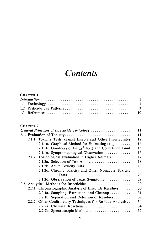## *Contents*

| Chapter 1 |  |
|-----------|--|
|           |  |
|           |  |
|           |  |
|           |  |

| General Principles of Insecticide Toxicology                  | 11 |
|---------------------------------------------------------------|----|
|                                                               | 11 |
| 2.1.1. Toxicity Tests against Insects and Other Invertebrates | 12 |
| 2.1.1a. Graphical Method for Estimating $LD_{50}$             | 14 |
| 2.1.1b. Goodness of Fit ( $\chi^2$ Test) and Confidence Limit | 15 |
| 2.1.1c. Symptomatological Observation                         | 16 |
| 2.1.2. Toxicological Evaluation in Higher Animals             | 17 |
| 2.1.2a. Selection of Test Animals                             | 18 |
| 2.1.2b. Acute Toxicity Data                                   | 19 |
| 2.1.2c. Chronic Toxicity and Other Nonacute Toxicity          |    |
|                                                               | 23 |
| 2.1.2d. Observation of Toxic Symptoms                         | 29 |
| 2.2. Analytical Methods for Insecticides                      | 30 |
| 2.2.1. Chromatographic Analysis of Insectide Residues         | 30 |
| 2.2.1a. Sampling, Extraction, and Cleanup                     | 31 |
| 2.2.1b. Separation and Detection of Residues                  | 32 |
| 2.2.2. Other Confirmatory Techniques for Residue Analysis     | 34 |
| 2.2.2a. Chemical Reactions                                    | 34 |
| 2.2.2b. Spectroscopic Methods                                 | 35 |
|                                                               |    |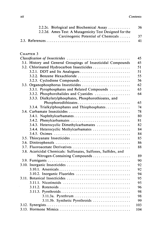| 2.2.2c. Biological and Biochemical Assay                | 36 |
|---------------------------------------------------------|----|
| 2.2.2d. Ames Test: A Mutagenicity Test Designed for the |    |
| Carcinogenic Potential of Chemicals                     | 37 |
|                                                         | 41 |

| Chapter 3 |  |
|-----------|--|
|-----------|--|

|                                                                | 45  |  |
|----------------------------------------------------------------|-----|--|
| 3.1. History and General Groupings of Insecticidal Compounds   | 45  |  |
| 3.2. Chlorinated Hydrocarbon Insecticides                      | 51  |  |
| 3.2.1. DDT and Its Analogues                                   | 51  |  |
| 3.2.2. Benzene Hexachloride                                    | 55  |  |
|                                                                | 56  |  |
| 3.3. Organophosphorus Insecticides                             | 62  |  |
| 3.3.1. Pyrophosphates and Related Compounds                    | 63  |  |
| 3.3.2. Phosphorohalides and Cyanides                           | 64  |  |
| 3.3.3. Dialkylarylphosphates, Phosphorothioates, and           |     |  |
| Phosphorodithioates                                            | 65  |  |
| 3.3.4. Trialkylphosphates and Thiophosphates                   | 74  |  |
|                                                                | 78  |  |
|                                                                | 80  |  |
|                                                                | 81  |  |
| 3.4.3. Heterocyclic Dimethylcarbamates                         | 82  |  |
| 3.4.4. Heterocyclic Methylcarbamates                           | 84  |  |
|                                                                | 84  |  |
|                                                                | 85  |  |
|                                                                | 86  |  |
| 3.7. Fluoroacetate Derivatives                                 | 88  |  |
| 3.8. Acaricidal Chemicals: Sulfonates, Sulfones, Sulfides, and |     |  |
| Nitrogen-Containing Compounds                                  | 89  |  |
|                                                                | 90  |  |
|                                                                | 92  |  |
|                                                                | 92  |  |
| 3.10.2. Inorganic Fluorides                                    | 94  |  |
|                                                                | 95  |  |
|                                                                | 95  |  |
|                                                                | 96  |  |
|                                                                | 98  |  |
|                                                                | 98  |  |
| 3.11.3b. Synthetic Pyrethroids                                 | 99  |  |
|                                                                | 103 |  |
|                                                                | 104 |  |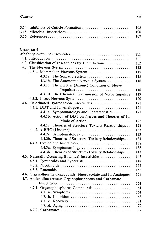|  | -105 |
|--|------|
|  | -106 |
|  | -107 |

| Modes of Action of Insecticides                                | 111 |
|----------------------------------------------------------------|-----|
|                                                                | 111 |
| 4.2. Classification of Insecticides by Their Actions           | 112 |
|                                                                | 113 |
| 4.3.1. Mammalian Nervous System                                | 115 |
| 4.3.1a. The Somatic System                                     | 115 |
| 4.3.1b. The Autonomic Nervous System                           | 116 |
| 4.3.1c. The Electric (Axonic) Condition of Nerve               |     |
| Impulses                                                       | 116 |
| 4.3.1d. The Chemical Transmission of Nerve Impulses            | 119 |
| 4.3.2. Insect Nervous System                                   | 120 |
| 4.4. Chlorinated Hydrocarbon Insecticides                      | 121 |
| 4.4.1. DDT and Its Analogues                                   | 121 |
| 4.4.1a. Symptomatology and Characteristics                     | 121 |
| 4.4.1b. Action of DDT on Nerves and Theories of Its            |     |
| Mode of Action                                                 | 122 |
| 4.4.1c. Theories of Structure-Toxicity Relationships           | 128 |
| 4.4.2. $\gamma$ -BHC (Lindane)                                 | 133 |
| 4.4.2a. Symptomatology                                         | 133 |
| 4.4.2b. Theories of Structure-Toxicity Relationships           | 134 |
| 4.4.3. Cyclodiene Insecticides                                 | 138 |
| 4.4.3a. Symptomatology                                         | 138 |
| 4.4.3b. Theories of Structure-Toxicity Relationships           | 143 |
| 4.5. Naturally Occurring Botanical Insecticides                | 147 |
| 4.5.1. Pyrethroids and Synergists                              | 147 |
|                                                                | 155 |
|                                                                | 158 |
| 4.6. Organofluorine Compounds: Fluoroacetate and Its Analogues | 159 |
| 4.7. Anticholinesterases: Organophosphorus and Carbamate       |     |
|                                                                | 161 |
| 4.7.1. Organophosphorus Compounds                              | 161 |
| 4.7.1a. Symptoms                                               | 161 |
| 4.7.1b. Inhibition                                             | 163 |
| 4.7.1c. Recovery                                               | 171 |
|                                                                | 172 |
|                                                                | 172 |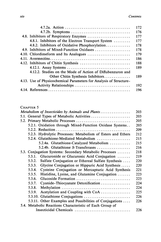|                                                                    | 172                                                                            |
|--------------------------------------------------------------------|--------------------------------------------------------------------------------|
|                                                                    | 176                                                                            |
|                                                                    | 177                                                                            |
| 4.8.1. Inhibitors of the Electron Transport System                 | 177                                                                            |
| 4.8.2. Inhibitors of Oxidative Phosphorylation                     | 178                                                                            |
| 4.9. Inhibitors of Mixed-Function Oxidases                         | 178                                                                            |
| 4.10. Chlordimeform and Its Analogues                              | 179                                                                            |
|                                                                    | 186                                                                            |
|                                                                    | 188                                                                            |
|                                                                    | 189                                                                            |
| 4.12.2. Studies on the Mode of Action of Diflubenzuron and         |                                                                                |
| Other Chitin Synthesis Inhibitors                                  | 189                                                                            |
| 4.13. Use of Physicochemical Parameters for Analysis of Structure- |                                                                                |
| Activity Relationships                                             | 192                                                                            |
|                                                                    | 196                                                                            |
|                                                                    | 4.8. Inhibitors of Respiratory Enzymes<br>4.12. Inhibitors of Chitin Synthesis |

| Metabolism of Insecticides by Animals and Plants             | 203 |  |
|--------------------------------------------------------------|-----|--|
| 5.1. General Types of Metabolic Activities<br>203            |     |  |
| 5.2. Primary Metabolic Processes                             | 205 |  |
| 5.2.1. Oxidation through Mixed-Function Oxidase Systems      | 205 |  |
|                                                              | 209 |  |
| 5.2.3. Hydrolytic Processes: Metabolism of Esters and Ethers | 212 |  |
| 5.2.4. Glutathione-Mediated Metabolism                       | 215 |  |
| 5.2.4a. Glutathione-Catalyzed Metabolism                     | 215 |  |
| 5.2.4b. Glutathione S-Transferases                           | 216 |  |
| 5.3. Conjugation Systems: Secondary Metabolic Processes      | 218 |  |
| Glucuronide or Glucuronic Acid Conjugation<br>5.3.1.         | 219 |  |
| Sulfate Conjugation or Ethereal Sulfate Synthesis<br>5.3.2.  | 220 |  |
| Glycine Conjugation or Hippuric Acid Synthesis<br>5.3.3.     | 220 |  |
| Cysteine Conjugation or Mercapturic Acid Synthesis<br>5.3.4. | 221 |  |
| 5.3.5.<br>Histidine, Lysine, and Glutamine Conjugation       | 223 |  |
| Glucoside Formation<br>5.3.6.                                | 223 |  |
| Cyanide-Thiocyanate Detoxification<br>5.3.7.                 | 224 |  |
| 5.3.8.                                                       | 224 |  |
| Acetylation and Coupling with CoA<br>5.3.9.                  | 225 |  |
| 5.3.10. Glutathione Conjugations                             | 226 |  |
| 5.3.11. Other Examples and Possibilities of Conjugations     | 226 |  |
| 5.4. Metabolic Reactions Characteristic of Each Group of     |     |  |
| Insecticidal Chemicals                                       | 226 |  |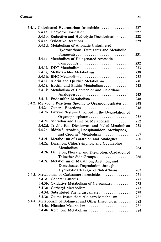|  |         | 5.4.1. Chlorinated Hydrocarbon Insecticides                     | 227 |
|--|---------|-----------------------------------------------------------------|-----|
|  |         | 5.4.1a. Dehydrochlorination                                     | 227 |
|  |         | 5.4.1b. Reductive and Hydrolytic Dechlorination                 | 228 |
|  |         | 5.4.1c. Oxidative Reactions                                     | 229 |
|  |         | 5.4.1d. Metabolism of Aliphatic Chlorinated                     |     |
|  |         | Hydrocarbons: Fumigants and Metabolic                           |     |
|  |         | Fragments                                                       | 231 |
|  |         | 5.4.1e. Metabolism of Halogenated Aromatic                      |     |
|  |         | Compounds                                                       | 232 |
|  | 5.4.1f. | DDT Metabolism                                                  | 233 |
|  |         | 5.4.1g. Methoxychlor Metabolism                                 | 238 |
|  |         | 5.4.1h. BHC Metabolism                                          | 238 |
|  |         | 5.4.1i. Aldrin and Dieldrin Metabolism                          | 240 |
|  |         | 5.4.1j. Isodrin and Endrin Metabolism                           | 242 |
|  |         | 5.4.1k. Metabolism of Heptachlor and Chlordane                  |     |
|  |         | Analogues                                                       | 243 |
|  | 5.4.11. | Endosulfan Metabolism                                           | 248 |
|  |         | 5.4.2. Metabolic Reactions Specific to Organophosphates         | 248 |
|  |         | 5.4.2a. General Reactions                                       | 248 |
|  |         | 5.4.2b. Enzyme Systems Involved in the Degradation of           |     |
|  |         | Organophosphates                                                | 252 |
|  |         | 5.4.2c. Schradan and Dimefox Metabolism                         | 252 |
|  |         | 5.4.2d. Trichlorfon, Dichlorvos, and Naled Metabolism           | 253 |
|  |         | 5.4.2e. Bidrin <sup>®</sup> , Azodrin, Phosphamidon, Mevinphos, |     |
|  |         | and Ciodrin® Metabolism                                         | 257 |
|  |         | 5.4.2f. Metabolism of Parathion and Analogues                   | 260 |
|  |         | 5.4.2g. Diazinon, Chlorfevinphos, and Coumaphos                 |     |
|  |         | Metabolism                                                      | 264 |
|  |         | 5.4.2h. Demeton, Phorate, and Disulfoton: Oxidation of          |     |
|  |         | Thioether Side-Groups                                           | 266 |
|  |         | 5.4.2i. Metabolism of Malathion, Acethion, and                  |     |
|  |         | Dimethoate: Degradation through                                 |     |
|  |         | Hydrolytic Cleavage of Side-Chains                              | 267 |
|  |         | 5.4.3. Metabolism of Carbamate Insecticides                     | 271 |
|  |         | 5.4.3a. General Patterns                                        | 271 |
|  |         | 5.4.3b. Oxidative Metabolism of Carbamates                      | 273 |
|  |         | 5.4.3c. Carbaryl Metabolism                                     | 277 |
|  |         | 5.4.3d. Substituted Phenylcarbamate                             | 279 |
|  |         | 5.4.3e. Oxime Insecticide: Aldicarb Metabolism                  | 282 |
|  |         | 5.4.4. Metabolism of Botanical and Other Insecticides           | 282 |
|  |         | 5.4.4a. Nicotine Metabolism                                     | 282 |
|  |         | 5.4.4b. Rotenone Metabolism                                     | 284 |
|  |         |                                                                 |     |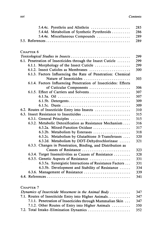| 5.4.4c. Pyrethrin and Allethrin $\ldots \ldots \ldots \ldots \ldots \ldots$ | 285 |
|-----------------------------------------------------------------------------|-----|
| 5.4.4d. Metabolism of Synthetic Pyrethroids                                 | 286 |
| 5.4.4e. Miscellaneous Compounds                                             | 289 |
|                                                                             | 289 |
| CHAPTER <sub>6</sub>                                                        |     |
|                                                                             | 299 |
| 6.1. Penetration of Insecticides through the Insect Cuticle                 | 299 |
| 6.1.1. Morphology of the Insect Cuticle                                     | 299 |
| 6.1.2. Insect Cuticles as Membranes                                         | 300 |
| 6.1.3. Factors Influencing the Rate of Penetration: Chemical                |     |
| Nature of Insecticides                                                      | 303 |
| 6.1.4. Factors Influencing Penetration of Insecticides: Effects             |     |
| of Cuticular Components                                                     | 306 |
| 6.1.5. Effect of Carriers and Solvents                                      | 307 |
|                                                                             | 307 |
|                                                                             | 309 |
|                                                                             | 309 |
| 6.2. Routes of Insecticide Entry into Insects                               | 310 |
| 6.3. Insect Resistance to Insecticides                                      | 315 |
|                                                                             | 315 |
| 6.3.2. Metabolic Detoxification as Resistance Mechanism                     | 316 |
| $6.3.2a$ . Mixed-Function Oxidase                                           | 317 |
| $6.3.2b$ . Metabolism by Esterases                                          | 318 |
| 6.3.2c. Metabolism by Glutathione S-Transferases                            | 320 |
| 6.3.2d. Metabolism by DDT-Dehydrochlorinase                                 | 321 |
| 6.3.3. Changes in Penetration, Binding, and Distribution as                 |     |
| Causes of Resistance                                                        | 323 |
| 6.3.4. Target Insensitivities as Causes of Resistance                       | 328 |
| 6.3.5. Genetic Aspects of Resistance                                        | 331 |
| 6.3.5a. Synergistic Interactions of Resistance Factors                      | 331 |
| 6.3.5b. Development and Stability of Resistance                             | 334 |
| 6.3.6. Management of Resistance                                             | 339 |
|                                                                             | 341 |

| Dynamics of Insecticide Movement in the Animal Body       | 347 |
|-----------------------------------------------------------|-----|
| 7.1. Routes of Insecticide Entry into Higher Animals      | 347 |
| 7.1.1. Penetration of Insecticides through Mammalian Skin | 347 |
| 7.1.2. Other Routes of Entry into Higher Animals          | 350 |
| 7.2. Total Intake-Elimination Dynamics                    | 352 |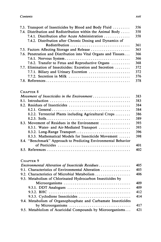| 7.3. Transport of Insecticides by Blood and Body Fluid          | 356 |
|-----------------------------------------------------------------|-----|
| 7.4. Distribution and Redistribution within the Animal Body     | 358 |
| 7.4.1. Distribution after Acute Administration                  | 358 |
| 7.4.2. Distribution after Chronic Dosing and Dynamics of        |     |
| Redistribution                                                  | 361 |
| 7.5. Factors Affecting Storage and Release                      | 363 |
| 7.6. Penetration and Distribution into Vital Organs and Tissues | 366 |
|                                                                 | 366 |
| 7.6.2. Transfer to Fetus and Reproductive Organs                | 368 |
| 7.7. Elimination of Insecticides: Excretion and Secretion       | 372 |
| 7.7.1. Biliary and Urinary Excretion                            | 372 |
|                                                                 | 376 |
|                                                                 | 378 |

| Movement of Insecticides in the Environment                    | 383 |
|----------------------------------------------------------------|-----|
|                                                                | 383 |
|                                                                | 384 |
|                                                                | 384 |
| 8.2.2. Terrestrial Plants including Agricultural Crops         | 386 |
|                                                                | 389 |
| 8.3. Movement of Residues in the Environment                   | 393 |
| 8.3.1. Water- and Air-Mediated Transport                       | 393 |
| 8.3.2. Long-Range Transport                                    | 396 |
| 8.3.3. Mathematical Models for Insecticide Movement            | 398 |
| 8.4. "Benchmark" Approach to Predicting Environmental Behavior |     |
|                                                                | 401 |
|                                                                | 402 |

| Environmental Alteration of Insecticide Residues |                                                               | 405 |
|--------------------------------------------------|---------------------------------------------------------------|-----|
|                                                  | 9.1. Characteristics of Environmental Alteration              | 405 |
|                                                  | 9.2. Characteristics of Microbial Metabolism                  | 406 |
|                                                  | 9.3. Metabolism of Chlorinated Hydrocarbon Insecticides by    |     |
|                                                  |                                                               | 409 |
|                                                  |                                                               | 409 |
|                                                  |                                                               | 412 |
|                                                  |                                                               | 414 |
|                                                  | 9.4. Metabolism of Organophosphate and Carbamate Insecticides |     |
|                                                  |                                                               | 417 |
|                                                  | 9.5. Metablolism of Acaricidal Compounds by Microorganisms    | 421 |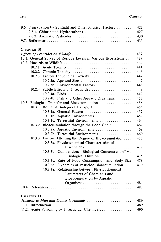|            | 9.6. Degradation by Sunlight and Other Physical Factors<br>9.6.1. Chlorinated Hydrocarbons | 423<br>427 |
|------------|--------------------------------------------------------------------------------------------|------------|
|            | 9.6.2. Aromatic Pesticides                                                                 | 430        |
|            |                                                                                            | 433        |
|            |                                                                                            |            |
| CHAPTER 10 |                                                                                            |            |
|            | Effects of Pesticides on Wildlife                                                          | 437        |
|            | 10.1. General Survey of Residue Levels in Various Ecosystems                               | 437        |
|            |                                                                                            | 444        |
|            |                                                                                            | 444        |
|            |                                                                                            | 446        |
|            | 10.2.3. Factors Influencing Toxicity                                                       | 447        |
|            | 10.2.3a. Age and Size                                                                      | 447        |
|            | 10.2.3b. Environmental Factors                                                             | 448        |
|            | 10.2.4. Subtle Effects of Insecticides                                                     | 449        |
|            |                                                                                            | 449        |
|            | 10.2.4b. Fish and Other Aquatic Organisms                                                  | 452        |
|            | 10.3. Biological Transfer and Bioaccumulation                                              | 456        |
|            | 10.3.1. Route of Biological Transport                                                      | 456        |
|            | 10.3.1a. General Pattern                                                                   | 457        |
|            | 10.3.1b. Aquatic Environments                                                              | 459        |
|            | 10.3.1c. Terrestrial Environments                                                          | 464        |
|            | 10.3.2. Bioaccumulation through the Food Chain                                             | 467        |
|            | 10.3.2a. Aquatic Environments                                                              | 468        |
|            | 10.3.2b. Terrestrial Environments                                                          | 469        |
|            | 10.3.3. Factors Affecting the Degree of Bioaccumulation                                    | 472        |
|            | 10.3.3a. Physicochemical Characteristics of                                                |            |
|            |                                                                                            | 472        |
|            | 10.3.3b. Competition: "Biological Concentration" vs.                                       |            |
|            | "Biological Dilution"                                                                      | 475        |
|            | 10.3.3c. Rate of Food Consumption and Body Size                                            | 478        |
|            | 10.3.3d. Dynamics of Pesticide Bioaccumulation                                             | 479        |
|            | 10.3.3e. Relationship between Physicochemical                                              |            |
|            | Parameters of Chemicals and                                                                |            |
|            | Bioaccumulation by Aquatic                                                                 |            |
|            | Organisms                                                                                  | 481        |
|            |                                                                                            | 483        |
| CHAPTER 11 |                                                                                            |            |
|            | Hazards to Man and Domestic Animals                                                        | 489        |
|            |                                                                                            | 489        |
|            | 11.2. Acute Poisoning by Insecticidal Chemicals                                            | 490        |
|            |                                                                                            |            |